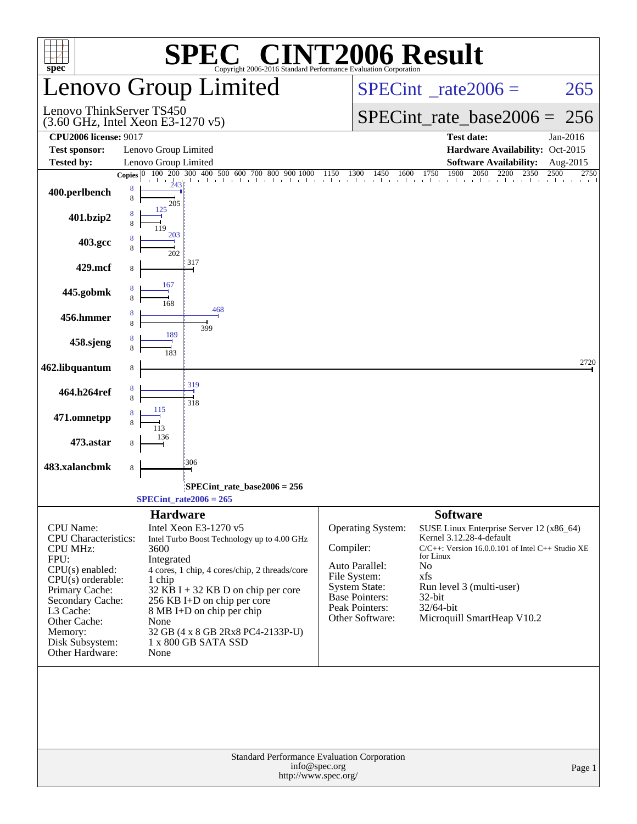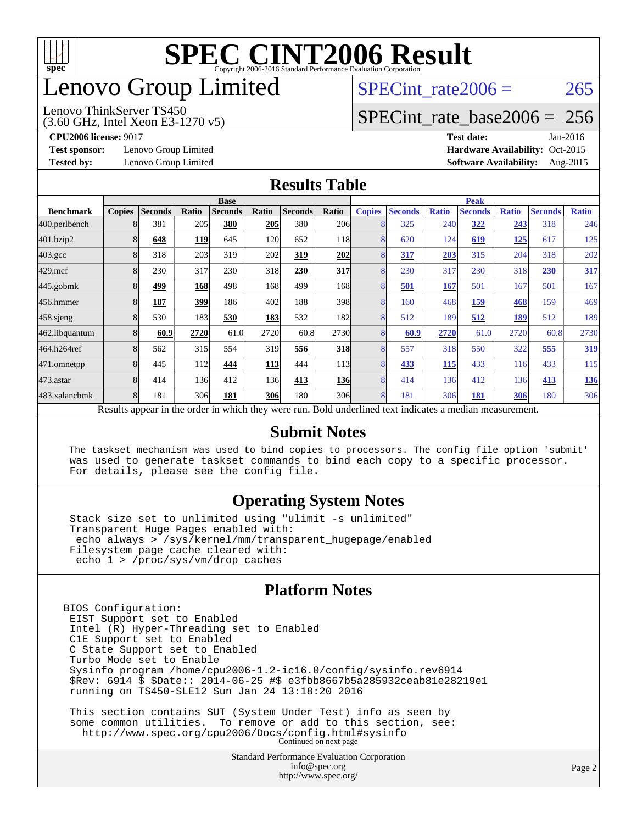

### enovo Group Limited

#### (3.60 GHz, Intel Xeon E3-1270 v5) Lenovo ThinkServer TS450

SPECint rate $2006 = 265$ 

#### [SPECint\\_rate\\_base2006 =](http://www.spec.org/auto/cpu2006/Docs/result-fields.html#SPECintratebase2006) 256

**[Test sponsor:](http://www.spec.org/auto/cpu2006/Docs/result-fields.html#Testsponsor)** Lenovo Group Limited **[Hardware Availability:](http://www.spec.org/auto/cpu2006/Docs/result-fields.html#HardwareAvailability)** Oct-2015

**[CPU2006 license:](http://www.spec.org/auto/cpu2006/Docs/result-fields.html#CPU2006license)** 9017 **[Test date:](http://www.spec.org/auto/cpu2006/Docs/result-fields.html#Testdate)** Jan-2016 **[Tested by:](http://www.spec.org/auto/cpu2006/Docs/result-fields.html#Testedby)** Lenovo Group Limited **[Software Availability:](http://www.spec.org/auto/cpu2006/Docs/result-fields.html#SoftwareAvailability)** Aug-2015

#### **[Results Table](http://www.spec.org/auto/cpu2006/Docs/result-fields.html#ResultsTable)**

|                    | <b>Base</b>             |                |       |                                                                                                        |            |                |                  | <b>Peak</b>   |                |              |                |              |                |              |
|--------------------|-------------------------|----------------|-------|--------------------------------------------------------------------------------------------------------|------------|----------------|------------------|---------------|----------------|--------------|----------------|--------------|----------------|--------------|
| <b>Benchmark</b>   | <b>Copies</b>           | <b>Seconds</b> | Ratio | <b>Seconds</b>                                                                                         | Ratio      | <b>Seconds</b> | Ratio            | <b>Copies</b> | <b>Seconds</b> | <b>Ratio</b> | <b>Seconds</b> | <b>Ratio</b> | <b>Seconds</b> | <b>Ratio</b> |
| 400.perlbench      |                         | 381            | 205   | 380                                                                                                    | 205        | 380            | 206              |               | 325            | 240          | 322            | 243          | 318            | 246          |
| 401.bzip2          | 8                       | 648            | 119   | 645                                                                                                    | 120        | 652            | 118              | 8             | 620            | 124          | 619            | 125          | 617            | 125          |
| $403.\mathrm{gcc}$ | 8                       | 318            | 203   | 319                                                                                                    | 202        | 319            | 202              | 8             | 317            | 203          | 315            | 204          | 318            | 202          |
| $429$ .mcf         | 8                       | 230            | 317   | 230                                                                                                    | 318        | 230            | 317              | 8             | 230            | 317          | 230            | 318          | 230            | 317          |
| $445$ .gobm $k$    | 8                       | 499            | 168   | 498                                                                                                    | 168        | 499            | 168l             | 8             | 501            | 167          | 501            | 167          | 501            | 167          |
| 456.hmmer          | 8                       | 187            | 399   | 186                                                                                                    | 402        | 188            | 398              | 8             | 160            | 468          | 159            | 468          | 159            | 469          |
| $458$ .sjeng       | 8                       | 530            | 183   | 530                                                                                                    | 183        | 532            | 182l             | 8             | 512            | 189          | 512            | 189          | 512            | 189          |
| 462.libquantum     | 8                       | 60.9           | 2720  | 61.0                                                                                                   | 2720       | 60.8           | 2730             | 8             | 60.9           | 2720         | 61.0           | 2720         | 60.8           | 2730         |
| 464.h264ref        | 8                       | 562            | 315   | 554                                                                                                    | 319        | 556            | <b>318</b>       | 8             | 557            | 318          | 550            | 322          | 555            | 319          |
| 471.omnetpp        | $\mathsf{\overline{R}}$ | 445            | 112   | 444                                                                                                    | <b>113</b> | 444            | 113 <sup> </sup> | 8             | 433            | 115          | 433            | 116          | 433            | 115          |
| $473$ . astar      | 8                       | 414            | 136   | 412                                                                                                    | 136        | 413            | <b>136</b>       | 8             | 414            | 136          | 412            | 136          | 413            | <u>136</u>   |
| 483.xalancbmk      | 8                       | 181            | 306   | 181                                                                                                    | <b>306</b> | 180            | 30 <sub>6</sub>  | 8             | 181            | 306          | 181            | 306          | 180            | 306          |
|                    |                         |                |       | Decute enneau in the order in which thay were mu. Dold underlined text indicates a modian magazinement |            |                |                  |               |                |              |                |              |                |              |

Results appear in the [order in which they were run.](http://www.spec.org/auto/cpu2006/Docs/result-fields.html#RunOrder) Bold underlined text [indicates a median measurement.](http://www.spec.org/auto/cpu2006/Docs/result-fields.html#Median)

#### **[Submit Notes](http://www.spec.org/auto/cpu2006/Docs/result-fields.html#SubmitNotes)**

 The taskset mechanism was used to bind copies to processors. The config file option 'submit' was used to generate taskset commands to bind each copy to a specific processor. For details, please see the config file.

#### **[Operating System Notes](http://www.spec.org/auto/cpu2006/Docs/result-fields.html#OperatingSystemNotes)**

 Stack size set to unlimited using "ulimit -s unlimited" Transparent Huge Pages enabled with: echo always > /sys/kernel/mm/transparent\_hugepage/enabled Filesystem page cache cleared with: echo 1 > /proc/sys/vm/drop\_caches

#### **[Platform Notes](http://www.spec.org/auto/cpu2006/Docs/result-fields.html#PlatformNotes)**

BIOS Configuration: EIST Support set to Enabled Intel (R) Hyper-Threading set to Enabled C1E Support set to Enabled C State Support set to Enabled Turbo Mode set to Enable Sysinfo program /home/cpu2006-1.2-ic16.0/config/sysinfo.rev6914 \$Rev: 6914 \$ \$Date:: 2014-06-25 #\$ e3fbb8667b5a285932ceab81e28219e1 running on TS450-SLE12 Sun Jan 24 13:18:20 2016

 This section contains SUT (System Under Test) info as seen by some common utilities. To remove or add to this section, see: <http://www.spec.org/cpu2006/Docs/config.html#sysinfo> Continued on next page

> Standard Performance Evaluation Corporation [info@spec.org](mailto:info@spec.org) <http://www.spec.org/>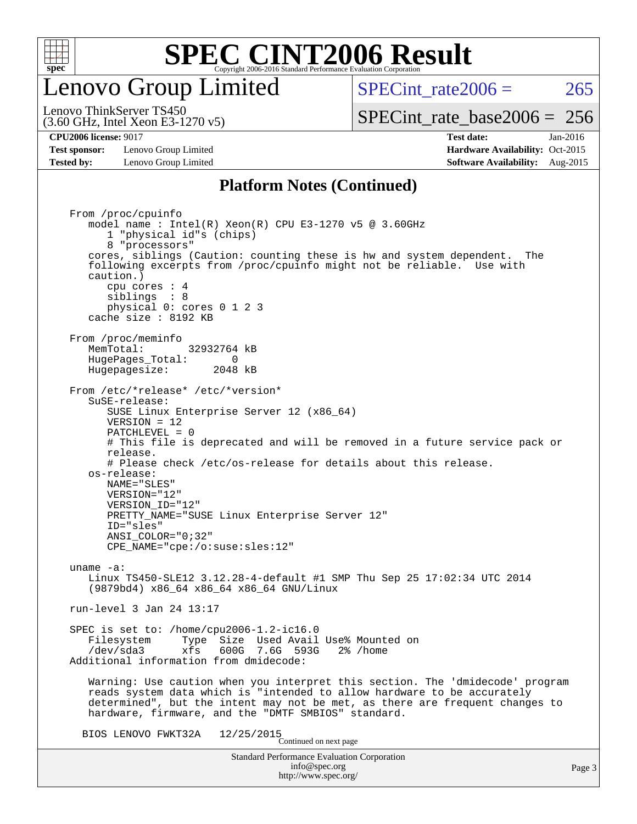

### enovo Group Limited

SPECint rate $2006 = 265$ 

(3.60 GHz, Intel Xeon E3-1270 v5) Lenovo ThinkServer TS450

**[Test sponsor:](http://www.spec.org/auto/cpu2006/Docs/result-fields.html#Testsponsor)** Lenovo Group Limited **[Hardware Availability:](http://www.spec.org/auto/cpu2006/Docs/result-fields.html#HardwareAvailability)** Oct-2015

[SPECint\\_rate\\_base2006 =](http://www.spec.org/auto/cpu2006/Docs/result-fields.html#SPECintratebase2006) 256 **[CPU2006 license:](http://www.spec.org/auto/cpu2006/Docs/result-fields.html#CPU2006license)** 9017 **[Test date:](http://www.spec.org/auto/cpu2006/Docs/result-fields.html#Testdate)** Jan-2016

#### **[Tested by:](http://www.spec.org/auto/cpu2006/Docs/result-fields.html#Testedby)** Lenovo Group Limited **[Software Availability:](http://www.spec.org/auto/cpu2006/Docs/result-fields.html#SoftwareAvailability)** Aug-2015 **[Platform Notes \(Continued\)](http://www.spec.org/auto/cpu2006/Docs/result-fields.html#PlatformNotes)**

Standard Performance Evaluation Corporation [info@spec.org](mailto:info@spec.org) <http://www.spec.org/> From /proc/cpuinfo model name : Intel(R) Xeon(R) CPU E3-1270 v5 @ 3.60GHz 1 "physical id"s (chips) 8 "processors" cores, siblings (Caution: counting these is hw and system dependent. The following excerpts from /proc/cpuinfo might not be reliable. Use with caution.) cpu cores : 4 siblings : 8 physical 0: cores 0 1 2 3 cache size : 8192 KB From /proc/meminfo MemTotal: 32932764 kB HugePages\_Total: 0<br>Hugepagesize: 2048 kB Hugepagesize: From /etc/\*release\* /etc/\*version\* SuSE-release: SUSE Linux Enterprise Server 12 (x86\_64) VERSION = 12 PATCHLEVEL = 0 # This file is deprecated and will be removed in a future service pack or release. # Please check /etc/os-release for details about this release. os-release: NAME="SLES" VERSION="12" VERSION\_ID="12" PRETTY\_NAME="SUSE Linux Enterprise Server 12" ID="sles" ANSI\_COLOR="0;32" CPE\_NAME="cpe:/o:suse:sles:12" uname -a: Linux TS450-SLE12 3.12.28-4-default #1 SMP Thu Sep 25 17:02:34 UTC 2014 (9879bd4) x86\_64 x86\_64 x86\_64 GNU/Linux run-level 3 Jan 24 13:17 SPEC is set to: /home/cpu2006-1.2-ic16.0 Filesystem Type Size Used Avail Use% Mounted on<br>
/dev/sda3 xfs 600G 7.6G 593G 2% /home 600G 7.6G 593G Additional information from dmidecode: Warning: Use caution when you interpret this section. The 'dmidecode' program reads system data which is "intended to allow hardware to be accurately determined", but the intent may not be met, as there are frequent changes to hardware, firmware, and the "DMTF SMBIOS" standard. BIOS LENOVO FWKT32A  $12/25/2015$ <br>Continued on next page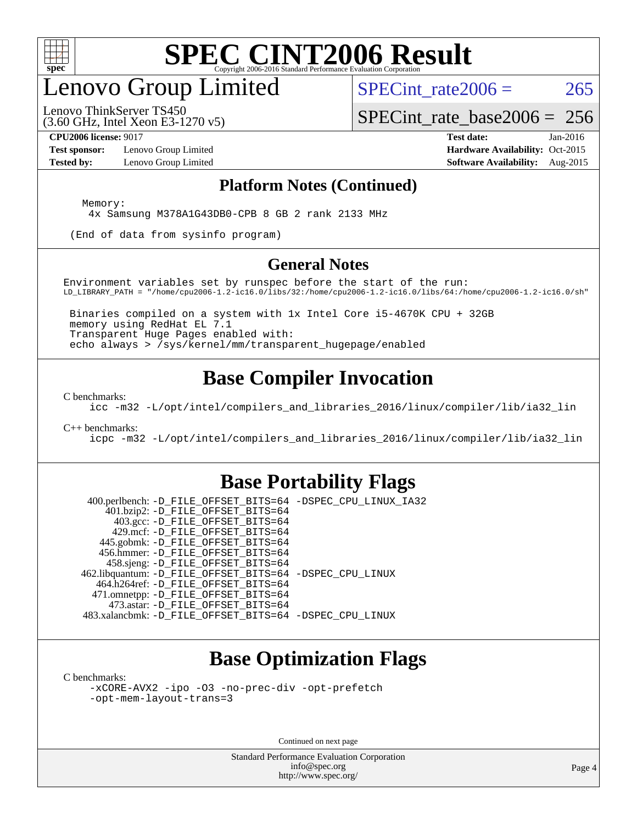

### enovo Group Limited

SPECint rate $2006 = 265$ 

(3.60 GHz, Intel Xeon E3-1270 v5) Lenovo ThinkServer TS450

[SPECint\\_rate\\_base2006 =](http://www.spec.org/auto/cpu2006/Docs/result-fields.html#SPECintratebase2006) 256

**[Test sponsor:](http://www.spec.org/auto/cpu2006/Docs/result-fields.html#Testsponsor)** Lenovo Group Limited **[Hardware Availability:](http://www.spec.org/auto/cpu2006/Docs/result-fields.html#HardwareAvailability)** Oct-2015

**[CPU2006 license:](http://www.spec.org/auto/cpu2006/Docs/result-fields.html#CPU2006license)** 9017 **[Test date:](http://www.spec.org/auto/cpu2006/Docs/result-fields.html#Testdate)** Jan-2016 **[Tested by:](http://www.spec.org/auto/cpu2006/Docs/result-fields.html#Testedby)** Lenovo Group Limited **[Software Availability:](http://www.spec.org/auto/cpu2006/Docs/result-fields.html#SoftwareAvailability)** Aug-2015

#### **[Platform Notes \(Continued\)](http://www.spec.org/auto/cpu2006/Docs/result-fields.html#PlatformNotes)**

Memory:

4x Samsung M378A1G43DB0-CPB 8 GB 2 rank 2133 MHz

(End of data from sysinfo program)

#### **[General Notes](http://www.spec.org/auto/cpu2006/Docs/result-fields.html#GeneralNotes)**

Environment variables set by runspec before the start of the run: LD\_LIBRARY\_PATH = "/home/cpu2006-1.2-ic16.0/libs/32:/home/cpu2006-1.2-ic16.0/libs/64:/home/cpu2006-1.2-ic16.0/sh"

 Binaries compiled on a system with 1x Intel Core i5-4670K CPU + 32GB memory using RedHat EL 7.1 Transparent Huge Pages enabled with: echo always > /sys/kernel/mm/transparent\_hugepage/enabled

#### **[Base Compiler Invocation](http://www.spec.org/auto/cpu2006/Docs/result-fields.html#BaseCompilerInvocation)**

[C benchmarks](http://www.spec.org/auto/cpu2006/Docs/result-fields.html#Cbenchmarks):

[icc -m32 -L/opt/intel/compilers\\_and\\_libraries\\_2016/linux/compiler/lib/ia32\\_lin](http://www.spec.org/cpu2006/results/res2016q1/cpu2006-20160222-39037.flags.html#user_CCbase_intel_icc_e10256ba5924b668798078a321b0cb3f)

#### [C++ benchmarks:](http://www.spec.org/auto/cpu2006/Docs/result-fields.html#CXXbenchmarks)

[icpc -m32 -L/opt/intel/compilers\\_and\\_libraries\\_2016/linux/compiler/lib/ia32\\_lin](http://www.spec.org/cpu2006/results/res2016q1/cpu2006-20160222-39037.flags.html#user_CXXbase_intel_icpc_b4f50a394bdb4597aa5879c16bc3f5c5)

#### **[Base Portability Flags](http://www.spec.org/auto/cpu2006/Docs/result-fields.html#BasePortabilityFlags)**

 400.perlbench: [-D\\_FILE\\_OFFSET\\_BITS=64](http://www.spec.org/cpu2006/results/res2016q1/cpu2006-20160222-39037.flags.html#user_basePORTABILITY400_perlbench_file_offset_bits_64_438cf9856305ebd76870a2c6dc2689ab) [-DSPEC\\_CPU\\_LINUX\\_IA32](http://www.spec.org/cpu2006/results/res2016q1/cpu2006-20160222-39037.flags.html#b400.perlbench_baseCPORTABILITY_DSPEC_CPU_LINUX_IA32) 401.bzip2: [-D\\_FILE\\_OFFSET\\_BITS=64](http://www.spec.org/cpu2006/results/res2016q1/cpu2006-20160222-39037.flags.html#user_basePORTABILITY401_bzip2_file_offset_bits_64_438cf9856305ebd76870a2c6dc2689ab) 403.gcc: [-D\\_FILE\\_OFFSET\\_BITS=64](http://www.spec.org/cpu2006/results/res2016q1/cpu2006-20160222-39037.flags.html#user_basePORTABILITY403_gcc_file_offset_bits_64_438cf9856305ebd76870a2c6dc2689ab) 429.mcf: [-D\\_FILE\\_OFFSET\\_BITS=64](http://www.spec.org/cpu2006/results/res2016q1/cpu2006-20160222-39037.flags.html#user_basePORTABILITY429_mcf_file_offset_bits_64_438cf9856305ebd76870a2c6dc2689ab) 445.gobmk: [-D\\_FILE\\_OFFSET\\_BITS=64](http://www.spec.org/cpu2006/results/res2016q1/cpu2006-20160222-39037.flags.html#user_basePORTABILITY445_gobmk_file_offset_bits_64_438cf9856305ebd76870a2c6dc2689ab) 456.hmmer: [-D\\_FILE\\_OFFSET\\_BITS=64](http://www.spec.org/cpu2006/results/res2016q1/cpu2006-20160222-39037.flags.html#user_basePORTABILITY456_hmmer_file_offset_bits_64_438cf9856305ebd76870a2c6dc2689ab) 458.sjeng: [-D\\_FILE\\_OFFSET\\_BITS=64](http://www.spec.org/cpu2006/results/res2016q1/cpu2006-20160222-39037.flags.html#user_basePORTABILITY458_sjeng_file_offset_bits_64_438cf9856305ebd76870a2c6dc2689ab) 462.libquantum: [-D\\_FILE\\_OFFSET\\_BITS=64](http://www.spec.org/cpu2006/results/res2016q1/cpu2006-20160222-39037.flags.html#user_basePORTABILITY462_libquantum_file_offset_bits_64_438cf9856305ebd76870a2c6dc2689ab) [-DSPEC\\_CPU\\_LINUX](http://www.spec.org/cpu2006/results/res2016q1/cpu2006-20160222-39037.flags.html#b462.libquantum_baseCPORTABILITY_DSPEC_CPU_LINUX) 464.h264ref: [-D\\_FILE\\_OFFSET\\_BITS=64](http://www.spec.org/cpu2006/results/res2016q1/cpu2006-20160222-39037.flags.html#user_basePORTABILITY464_h264ref_file_offset_bits_64_438cf9856305ebd76870a2c6dc2689ab) 471.omnetpp: [-D\\_FILE\\_OFFSET\\_BITS=64](http://www.spec.org/cpu2006/results/res2016q1/cpu2006-20160222-39037.flags.html#user_basePORTABILITY471_omnetpp_file_offset_bits_64_438cf9856305ebd76870a2c6dc2689ab) 473.astar: [-D\\_FILE\\_OFFSET\\_BITS=64](http://www.spec.org/cpu2006/results/res2016q1/cpu2006-20160222-39037.flags.html#user_basePORTABILITY473_astar_file_offset_bits_64_438cf9856305ebd76870a2c6dc2689ab) 483.xalancbmk: [-D\\_FILE\\_OFFSET\\_BITS=64](http://www.spec.org/cpu2006/results/res2016q1/cpu2006-20160222-39037.flags.html#user_basePORTABILITY483_xalancbmk_file_offset_bits_64_438cf9856305ebd76870a2c6dc2689ab) [-DSPEC\\_CPU\\_LINUX](http://www.spec.org/cpu2006/results/res2016q1/cpu2006-20160222-39037.flags.html#b483.xalancbmk_baseCXXPORTABILITY_DSPEC_CPU_LINUX)

#### **[Base Optimization Flags](http://www.spec.org/auto/cpu2006/Docs/result-fields.html#BaseOptimizationFlags)**

[C benchmarks](http://www.spec.org/auto/cpu2006/Docs/result-fields.html#Cbenchmarks):

[-xCORE-AVX2](http://www.spec.org/cpu2006/results/res2016q1/cpu2006-20160222-39037.flags.html#user_CCbase_f-xAVX2_5f5fc0cbe2c9f62c816d3e45806c70d7) [-ipo](http://www.spec.org/cpu2006/results/res2016q1/cpu2006-20160222-39037.flags.html#user_CCbase_f-ipo) [-O3](http://www.spec.org/cpu2006/results/res2016q1/cpu2006-20160222-39037.flags.html#user_CCbase_f-O3) [-no-prec-div](http://www.spec.org/cpu2006/results/res2016q1/cpu2006-20160222-39037.flags.html#user_CCbase_f-no-prec-div) [-opt-prefetch](http://www.spec.org/cpu2006/results/res2016q1/cpu2006-20160222-39037.flags.html#user_CCbase_f-opt-prefetch) [-opt-mem-layout-trans=3](http://www.spec.org/cpu2006/results/res2016q1/cpu2006-20160222-39037.flags.html#user_CCbase_f-opt-mem-layout-trans_a7b82ad4bd7abf52556d4961a2ae94d5)

Continued on next page

Standard Performance Evaluation Corporation [info@spec.org](mailto:info@spec.org) <http://www.spec.org/>

Page 4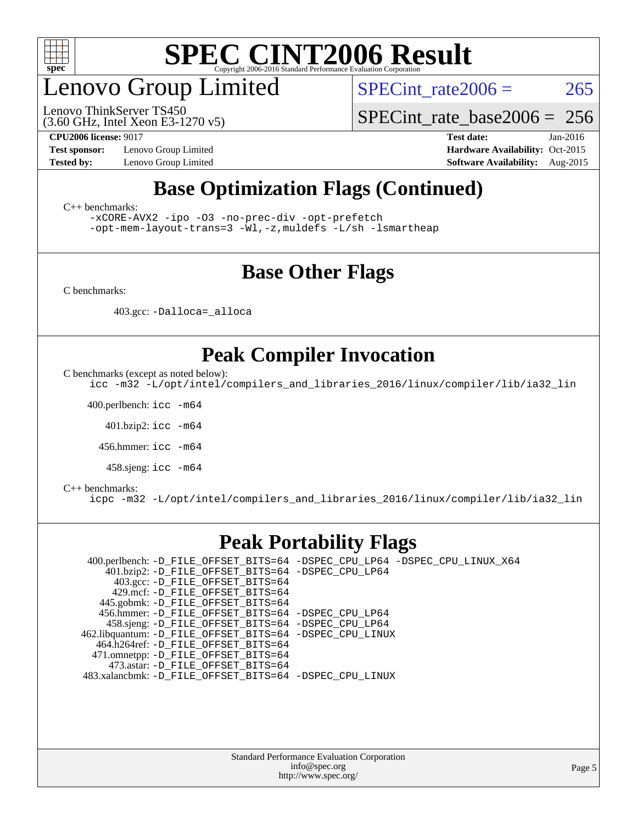

### enovo Group Limited

(3.60 GHz, Intel Xeon E3-1270 v5) Lenovo ThinkServer TS450

SPECint rate $2006 = 265$ 

[SPECint\\_rate\\_base2006 =](http://www.spec.org/auto/cpu2006/Docs/result-fields.html#SPECintratebase2006) 256

**[Test sponsor:](http://www.spec.org/auto/cpu2006/Docs/result-fields.html#Testsponsor)** Lenovo Group Limited **[Hardware Availability:](http://www.spec.org/auto/cpu2006/Docs/result-fields.html#HardwareAvailability)** Oct-2015

**[CPU2006 license:](http://www.spec.org/auto/cpu2006/Docs/result-fields.html#CPU2006license)** 9017 **[Test date:](http://www.spec.org/auto/cpu2006/Docs/result-fields.html#Testdate)** Jan-2016 **[Tested by:](http://www.spec.org/auto/cpu2006/Docs/result-fields.html#Testedby)** Lenovo Group Limited **[Software Availability:](http://www.spec.org/auto/cpu2006/Docs/result-fields.html#SoftwareAvailability)** Aug-2015

#### **[Base Optimization Flags \(Continued\)](http://www.spec.org/auto/cpu2006/Docs/result-fields.html#BaseOptimizationFlags)**

[C++ benchmarks:](http://www.spec.org/auto/cpu2006/Docs/result-fields.html#CXXbenchmarks)

[-xCORE-AVX2](http://www.spec.org/cpu2006/results/res2016q1/cpu2006-20160222-39037.flags.html#user_CXXbase_f-xAVX2_5f5fc0cbe2c9f62c816d3e45806c70d7) [-ipo](http://www.spec.org/cpu2006/results/res2016q1/cpu2006-20160222-39037.flags.html#user_CXXbase_f-ipo) [-O3](http://www.spec.org/cpu2006/results/res2016q1/cpu2006-20160222-39037.flags.html#user_CXXbase_f-O3) [-no-prec-div](http://www.spec.org/cpu2006/results/res2016q1/cpu2006-20160222-39037.flags.html#user_CXXbase_f-no-prec-div) [-opt-prefetch](http://www.spec.org/cpu2006/results/res2016q1/cpu2006-20160222-39037.flags.html#user_CXXbase_f-opt-prefetch)

[-opt-mem-layout-trans=3](http://www.spec.org/cpu2006/results/res2016q1/cpu2006-20160222-39037.flags.html#user_CXXbase_f-opt-mem-layout-trans_a7b82ad4bd7abf52556d4961a2ae94d5) [-Wl,-z,muldefs](http://www.spec.org/cpu2006/results/res2016q1/cpu2006-20160222-39037.flags.html#user_CXXbase_link_force_multiple1_74079c344b956b9658436fd1b6dd3a8a) [-L/sh -lsmartheap](http://www.spec.org/cpu2006/results/res2016q1/cpu2006-20160222-39037.flags.html#user_CXXbase_SmartHeap_32f6c82aa1ed9c52345d30cf6e4a0499)

#### **[Base Other Flags](http://www.spec.org/auto/cpu2006/Docs/result-fields.html#BaseOtherFlags)**

[C benchmarks](http://www.spec.org/auto/cpu2006/Docs/result-fields.html#Cbenchmarks):

403.gcc: [-Dalloca=\\_alloca](http://www.spec.org/cpu2006/results/res2016q1/cpu2006-20160222-39037.flags.html#b403.gcc_baseEXTRA_CFLAGS_Dalloca_be3056838c12de2578596ca5467af7f3)

#### **[Peak Compiler Invocation](http://www.spec.org/auto/cpu2006/Docs/result-fields.html#PeakCompilerInvocation)**

[C benchmarks \(except as noted below\)](http://www.spec.org/auto/cpu2006/Docs/result-fields.html#Cbenchmarksexceptasnotedbelow):

[icc -m32 -L/opt/intel/compilers\\_and\\_libraries\\_2016/linux/compiler/lib/ia32\\_lin](http://www.spec.org/cpu2006/results/res2016q1/cpu2006-20160222-39037.flags.html#user_CCpeak_intel_icc_e10256ba5924b668798078a321b0cb3f)

400.perlbench: [icc -m64](http://www.spec.org/cpu2006/results/res2016q1/cpu2006-20160222-39037.flags.html#user_peakCCLD400_perlbench_intel_icc_64bit_bda6cc9af1fdbb0edc3795bac97ada53)

401.bzip2: [icc -m64](http://www.spec.org/cpu2006/results/res2016q1/cpu2006-20160222-39037.flags.html#user_peakCCLD401_bzip2_intel_icc_64bit_bda6cc9af1fdbb0edc3795bac97ada53)

456.hmmer: [icc -m64](http://www.spec.org/cpu2006/results/res2016q1/cpu2006-20160222-39037.flags.html#user_peakCCLD456_hmmer_intel_icc_64bit_bda6cc9af1fdbb0edc3795bac97ada53)

458.sjeng: [icc -m64](http://www.spec.org/cpu2006/results/res2016q1/cpu2006-20160222-39037.flags.html#user_peakCCLD458_sjeng_intel_icc_64bit_bda6cc9af1fdbb0edc3795bac97ada53)

#### [C++ benchmarks:](http://www.spec.org/auto/cpu2006/Docs/result-fields.html#CXXbenchmarks)

[icpc -m32 -L/opt/intel/compilers\\_and\\_libraries\\_2016/linux/compiler/lib/ia32\\_lin](http://www.spec.org/cpu2006/results/res2016q1/cpu2006-20160222-39037.flags.html#user_CXXpeak_intel_icpc_b4f50a394bdb4597aa5879c16bc3f5c5)

#### **[Peak Portability Flags](http://www.spec.org/auto/cpu2006/Docs/result-fields.html#PeakPortabilityFlags)**

 400.perlbench: [-D\\_FILE\\_OFFSET\\_BITS=64](http://www.spec.org/cpu2006/results/res2016q1/cpu2006-20160222-39037.flags.html#user_peakPORTABILITY400_perlbench_file_offset_bits_64_438cf9856305ebd76870a2c6dc2689ab) [-DSPEC\\_CPU\\_LP64](http://www.spec.org/cpu2006/results/res2016q1/cpu2006-20160222-39037.flags.html#b400.perlbench_peakCPORTABILITY_DSPEC_CPU_LP64) [-DSPEC\\_CPU\\_LINUX\\_X64](http://www.spec.org/cpu2006/results/res2016q1/cpu2006-20160222-39037.flags.html#b400.perlbench_peakCPORTABILITY_DSPEC_CPU_LINUX_X64) 401.bzip2: [-D\\_FILE\\_OFFSET\\_BITS=64](http://www.spec.org/cpu2006/results/res2016q1/cpu2006-20160222-39037.flags.html#user_peakPORTABILITY401_bzip2_file_offset_bits_64_438cf9856305ebd76870a2c6dc2689ab) [-DSPEC\\_CPU\\_LP64](http://www.spec.org/cpu2006/results/res2016q1/cpu2006-20160222-39037.flags.html#suite_peakCPORTABILITY401_bzip2_DSPEC_CPU_LP64) 403.gcc: [-D\\_FILE\\_OFFSET\\_BITS=64](http://www.spec.org/cpu2006/results/res2016q1/cpu2006-20160222-39037.flags.html#user_peakPORTABILITY403_gcc_file_offset_bits_64_438cf9856305ebd76870a2c6dc2689ab) 429.mcf: [-D\\_FILE\\_OFFSET\\_BITS=64](http://www.spec.org/cpu2006/results/res2016q1/cpu2006-20160222-39037.flags.html#user_peakPORTABILITY429_mcf_file_offset_bits_64_438cf9856305ebd76870a2c6dc2689ab) 445.gobmk: [-D\\_FILE\\_OFFSET\\_BITS=64](http://www.spec.org/cpu2006/results/res2016q1/cpu2006-20160222-39037.flags.html#user_peakPORTABILITY445_gobmk_file_offset_bits_64_438cf9856305ebd76870a2c6dc2689ab) 456.hmmer: [-D\\_FILE\\_OFFSET\\_BITS=64](http://www.spec.org/cpu2006/results/res2016q1/cpu2006-20160222-39037.flags.html#user_peakPORTABILITY456_hmmer_file_offset_bits_64_438cf9856305ebd76870a2c6dc2689ab) [-DSPEC\\_CPU\\_LP64](http://www.spec.org/cpu2006/results/res2016q1/cpu2006-20160222-39037.flags.html#suite_peakCPORTABILITY456_hmmer_DSPEC_CPU_LP64) 458.sjeng: [-D\\_FILE\\_OFFSET\\_BITS=64](http://www.spec.org/cpu2006/results/res2016q1/cpu2006-20160222-39037.flags.html#user_peakPORTABILITY458_sjeng_file_offset_bits_64_438cf9856305ebd76870a2c6dc2689ab) [-DSPEC\\_CPU\\_LP64](http://www.spec.org/cpu2006/results/res2016q1/cpu2006-20160222-39037.flags.html#suite_peakCPORTABILITY458_sjeng_DSPEC_CPU_LP64) 462.libquantum: [-D\\_FILE\\_OFFSET\\_BITS=64](http://www.spec.org/cpu2006/results/res2016q1/cpu2006-20160222-39037.flags.html#user_peakPORTABILITY462_libquantum_file_offset_bits_64_438cf9856305ebd76870a2c6dc2689ab) [-DSPEC\\_CPU\\_LINUX](http://www.spec.org/cpu2006/results/res2016q1/cpu2006-20160222-39037.flags.html#b462.libquantum_peakCPORTABILITY_DSPEC_CPU_LINUX) 464.h264ref: [-D\\_FILE\\_OFFSET\\_BITS=64](http://www.spec.org/cpu2006/results/res2016q1/cpu2006-20160222-39037.flags.html#user_peakPORTABILITY464_h264ref_file_offset_bits_64_438cf9856305ebd76870a2c6dc2689ab) 471.omnetpp: [-D\\_FILE\\_OFFSET\\_BITS=64](http://www.spec.org/cpu2006/results/res2016q1/cpu2006-20160222-39037.flags.html#user_peakPORTABILITY471_omnetpp_file_offset_bits_64_438cf9856305ebd76870a2c6dc2689ab) 473.astar: [-D\\_FILE\\_OFFSET\\_BITS=64](http://www.spec.org/cpu2006/results/res2016q1/cpu2006-20160222-39037.flags.html#user_peakPORTABILITY473_astar_file_offset_bits_64_438cf9856305ebd76870a2c6dc2689ab) 483.xalancbmk: [-D\\_FILE\\_OFFSET\\_BITS=64](http://www.spec.org/cpu2006/results/res2016q1/cpu2006-20160222-39037.flags.html#user_peakPORTABILITY483_xalancbmk_file_offset_bits_64_438cf9856305ebd76870a2c6dc2689ab) [-DSPEC\\_CPU\\_LINUX](http://www.spec.org/cpu2006/results/res2016q1/cpu2006-20160222-39037.flags.html#b483.xalancbmk_peakCXXPORTABILITY_DSPEC_CPU_LINUX)

> Standard Performance Evaluation Corporation [info@spec.org](mailto:info@spec.org) <http://www.spec.org/>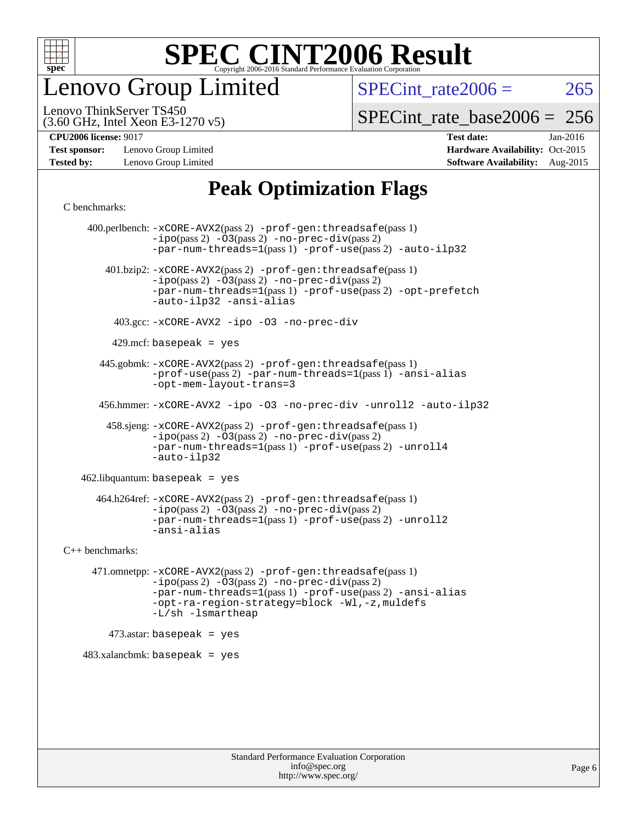

enovo Group Limited

SPECint rate $2006 = 265$ 

(3.60 GHz, Intel Xeon E3-1270 v5) Lenovo ThinkServer TS450

[SPECint\\_rate\\_base2006 =](http://www.spec.org/auto/cpu2006/Docs/result-fields.html#SPECintratebase2006) 256

**[Test sponsor:](http://www.spec.org/auto/cpu2006/Docs/result-fields.html#Testsponsor)** Lenovo Group Limited **[Hardware Availability:](http://www.spec.org/auto/cpu2006/Docs/result-fields.html#HardwareAvailability)** Oct-2015

**[CPU2006 license:](http://www.spec.org/auto/cpu2006/Docs/result-fields.html#CPU2006license)** 9017 **[Test date:](http://www.spec.org/auto/cpu2006/Docs/result-fields.html#Testdate)** Jan-2016 **[Tested by:](http://www.spec.org/auto/cpu2006/Docs/result-fields.html#Testedby)** Lenovo Group Limited **[Software Availability:](http://www.spec.org/auto/cpu2006/Docs/result-fields.html#SoftwareAvailability)** Aug-2015

#### **[Peak Optimization Flags](http://www.spec.org/auto/cpu2006/Docs/result-fields.html#PeakOptimizationFlags)**

[C benchmarks](http://www.spec.org/auto/cpu2006/Docs/result-fields.html#Cbenchmarks):

 400.perlbench: [-xCORE-AVX2](http://www.spec.org/cpu2006/results/res2016q1/cpu2006-20160222-39037.flags.html#user_peakPASS2_CFLAGSPASS2_LDCFLAGS400_perlbench_f-xAVX2_5f5fc0cbe2c9f62c816d3e45806c70d7)(pass 2) [-prof-gen:threadsafe](http://www.spec.org/cpu2006/results/res2016q1/cpu2006-20160222-39037.flags.html#user_peakPASS1_CFLAGSPASS1_LDCFLAGS400_perlbench_prof_gen_21a26eb79f378b550acd7bec9fe4467a)(pass 1)  $-i\text{po}(pass 2) -\overline{03}(pass 2)$  [-no-prec-div](http://www.spec.org/cpu2006/results/res2016q1/cpu2006-20160222-39037.flags.html#user_peakPASS2_CFLAGSPASS2_LDCFLAGS400_perlbench_f-no-prec-div)(pass 2) [-par-num-threads=1](http://www.spec.org/cpu2006/results/res2016q1/cpu2006-20160222-39037.flags.html#user_peakPASS1_CFLAGSPASS1_LDCFLAGS400_perlbench_par_num_threads_786a6ff141b4e9e90432e998842df6c2)(pass 1) [-prof-use](http://www.spec.org/cpu2006/results/res2016q1/cpu2006-20160222-39037.flags.html#user_peakPASS2_CFLAGSPASS2_LDCFLAGS400_perlbench_prof_use_bccf7792157ff70d64e32fe3e1250b55)(pass 2) [-auto-ilp32](http://www.spec.org/cpu2006/results/res2016q1/cpu2006-20160222-39037.flags.html#user_peakCOPTIMIZE400_perlbench_f-auto-ilp32) 401.bzip2: [-xCORE-AVX2](http://www.spec.org/cpu2006/results/res2016q1/cpu2006-20160222-39037.flags.html#user_peakPASS2_CFLAGSPASS2_LDCFLAGS401_bzip2_f-xAVX2_5f5fc0cbe2c9f62c816d3e45806c70d7)(pass 2) [-prof-gen:threadsafe](http://www.spec.org/cpu2006/results/res2016q1/cpu2006-20160222-39037.flags.html#user_peakPASS1_CFLAGSPASS1_LDCFLAGS401_bzip2_prof_gen_21a26eb79f378b550acd7bec9fe4467a)(pass 1)  $-ipo(pass 2) -\overline{O}3(pass 2)$  $-ipo(pass 2) -\overline{O}3(pass 2)$  [-no-prec-div](http://www.spec.org/cpu2006/results/res2016q1/cpu2006-20160222-39037.flags.html#user_peakPASS2_CFLAGSPASS2_LDCFLAGS401_bzip2_f-no-prec-div)(pass 2) [-par-num-threads=1](http://www.spec.org/cpu2006/results/res2016q1/cpu2006-20160222-39037.flags.html#user_peakPASS1_CFLAGSPASS1_LDCFLAGS401_bzip2_par_num_threads_786a6ff141b4e9e90432e998842df6c2)(pass 1) [-prof-use](http://www.spec.org/cpu2006/results/res2016q1/cpu2006-20160222-39037.flags.html#user_peakPASS2_CFLAGSPASS2_LDCFLAGS401_bzip2_prof_use_bccf7792157ff70d64e32fe3e1250b55)(pass 2) [-opt-prefetch](http://www.spec.org/cpu2006/results/res2016q1/cpu2006-20160222-39037.flags.html#user_peakCOPTIMIZE401_bzip2_f-opt-prefetch) [-auto-ilp32](http://www.spec.org/cpu2006/results/res2016q1/cpu2006-20160222-39037.flags.html#user_peakCOPTIMIZE401_bzip2_f-auto-ilp32) [-ansi-alias](http://www.spec.org/cpu2006/results/res2016q1/cpu2006-20160222-39037.flags.html#user_peakCOPTIMIZE401_bzip2_f-ansi-alias) 403.gcc: [-xCORE-AVX2](http://www.spec.org/cpu2006/results/res2016q1/cpu2006-20160222-39037.flags.html#user_peakCOPTIMIZE403_gcc_f-xAVX2_5f5fc0cbe2c9f62c816d3e45806c70d7) [-ipo](http://www.spec.org/cpu2006/results/res2016q1/cpu2006-20160222-39037.flags.html#user_peakCOPTIMIZE403_gcc_f-ipo) [-O3](http://www.spec.org/cpu2006/results/res2016q1/cpu2006-20160222-39037.flags.html#user_peakCOPTIMIZE403_gcc_f-O3) [-no-prec-div](http://www.spec.org/cpu2006/results/res2016q1/cpu2006-20160222-39037.flags.html#user_peakCOPTIMIZE403_gcc_f-no-prec-div)  $429$ .mcf: basepeak = yes 445.gobmk: [-xCORE-AVX2](http://www.spec.org/cpu2006/results/res2016q1/cpu2006-20160222-39037.flags.html#user_peakPASS2_CFLAGSPASS2_LDCFLAGS445_gobmk_f-xAVX2_5f5fc0cbe2c9f62c816d3e45806c70d7)(pass 2) [-prof-gen:threadsafe](http://www.spec.org/cpu2006/results/res2016q1/cpu2006-20160222-39037.flags.html#user_peakPASS1_CFLAGSPASS1_LDCFLAGS445_gobmk_prof_gen_21a26eb79f378b550acd7bec9fe4467a)(pass 1) [-prof-use](http://www.spec.org/cpu2006/results/res2016q1/cpu2006-20160222-39037.flags.html#user_peakPASS2_CFLAGSPASS2_LDCFLAGS445_gobmk_prof_use_bccf7792157ff70d64e32fe3e1250b55)(pass 2) [-par-num-threads=1](http://www.spec.org/cpu2006/results/res2016q1/cpu2006-20160222-39037.flags.html#user_peakPASS1_CFLAGSPASS1_LDCFLAGS445_gobmk_par_num_threads_786a6ff141b4e9e90432e998842df6c2)(pass 1) [-ansi-alias](http://www.spec.org/cpu2006/results/res2016q1/cpu2006-20160222-39037.flags.html#user_peakCOPTIMIZE445_gobmk_f-ansi-alias) [-opt-mem-layout-trans=3](http://www.spec.org/cpu2006/results/res2016q1/cpu2006-20160222-39037.flags.html#user_peakCOPTIMIZE445_gobmk_f-opt-mem-layout-trans_a7b82ad4bd7abf52556d4961a2ae94d5) 456.hmmer: [-xCORE-AVX2](http://www.spec.org/cpu2006/results/res2016q1/cpu2006-20160222-39037.flags.html#user_peakCOPTIMIZE456_hmmer_f-xAVX2_5f5fc0cbe2c9f62c816d3e45806c70d7) [-ipo](http://www.spec.org/cpu2006/results/res2016q1/cpu2006-20160222-39037.flags.html#user_peakCOPTIMIZE456_hmmer_f-ipo) [-O3](http://www.spec.org/cpu2006/results/res2016q1/cpu2006-20160222-39037.flags.html#user_peakCOPTIMIZE456_hmmer_f-O3) [-no-prec-div](http://www.spec.org/cpu2006/results/res2016q1/cpu2006-20160222-39037.flags.html#user_peakCOPTIMIZE456_hmmer_f-no-prec-div) [-unroll2](http://www.spec.org/cpu2006/results/res2016q1/cpu2006-20160222-39037.flags.html#user_peakCOPTIMIZE456_hmmer_f-unroll_784dae83bebfb236979b41d2422d7ec2) [-auto-ilp32](http://www.spec.org/cpu2006/results/res2016q1/cpu2006-20160222-39037.flags.html#user_peakCOPTIMIZE456_hmmer_f-auto-ilp32) 458.sjeng: [-xCORE-AVX2](http://www.spec.org/cpu2006/results/res2016q1/cpu2006-20160222-39037.flags.html#user_peakPASS2_CFLAGSPASS2_LDCFLAGS458_sjeng_f-xAVX2_5f5fc0cbe2c9f62c816d3e45806c70d7)(pass 2) [-prof-gen:threadsafe](http://www.spec.org/cpu2006/results/res2016q1/cpu2006-20160222-39037.flags.html#user_peakPASS1_CFLAGSPASS1_LDCFLAGS458_sjeng_prof_gen_21a26eb79f378b550acd7bec9fe4467a)(pass 1)  $-i\text{po}(pass 2) -03(pass 2) -no-prec-div(pass 2)$  $-i\text{po}(pass 2) -03(pass 2) -no-prec-div(pass 2)$  $-i\text{po}(pass 2) -03(pass 2) -no-prec-div(pass 2)$ [-par-num-threads=1](http://www.spec.org/cpu2006/results/res2016q1/cpu2006-20160222-39037.flags.html#user_peakPASS1_CFLAGSPASS1_LDCFLAGS458_sjeng_par_num_threads_786a6ff141b4e9e90432e998842df6c2)(pass 1) [-prof-use](http://www.spec.org/cpu2006/results/res2016q1/cpu2006-20160222-39037.flags.html#user_peakPASS2_CFLAGSPASS2_LDCFLAGS458_sjeng_prof_use_bccf7792157ff70d64e32fe3e1250b55)(pass 2) [-unroll4](http://www.spec.org/cpu2006/results/res2016q1/cpu2006-20160222-39037.flags.html#user_peakCOPTIMIZE458_sjeng_f-unroll_4e5e4ed65b7fd20bdcd365bec371b81f) [-auto-ilp32](http://www.spec.org/cpu2006/results/res2016q1/cpu2006-20160222-39037.flags.html#user_peakCOPTIMIZE458_sjeng_f-auto-ilp32) 462.libquantum: basepeak = yes 464.h264ref: [-xCORE-AVX2](http://www.spec.org/cpu2006/results/res2016q1/cpu2006-20160222-39037.flags.html#user_peakPASS2_CFLAGSPASS2_LDCFLAGS464_h264ref_f-xAVX2_5f5fc0cbe2c9f62c816d3e45806c70d7)(pass 2) [-prof-gen:threadsafe](http://www.spec.org/cpu2006/results/res2016q1/cpu2006-20160222-39037.flags.html#user_peakPASS1_CFLAGSPASS1_LDCFLAGS464_h264ref_prof_gen_21a26eb79f378b550acd7bec9fe4467a)(pass 1) [-ipo](http://www.spec.org/cpu2006/results/res2016q1/cpu2006-20160222-39037.flags.html#user_peakPASS2_CFLAGSPASS2_LDCFLAGS464_h264ref_f-ipo)(pass 2) [-O3](http://www.spec.org/cpu2006/results/res2016q1/cpu2006-20160222-39037.flags.html#user_peakPASS2_CFLAGSPASS2_LDCFLAGS464_h264ref_f-O3)(pass 2) [-no-prec-div](http://www.spec.org/cpu2006/results/res2016q1/cpu2006-20160222-39037.flags.html#user_peakPASS2_CFLAGSPASS2_LDCFLAGS464_h264ref_f-no-prec-div)(pass 2) [-par-num-threads=1](http://www.spec.org/cpu2006/results/res2016q1/cpu2006-20160222-39037.flags.html#user_peakPASS1_CFLAGSPASS1_LDCFLAGS464_h264ref_par_num_threads_786a6ff141b4e9e90432e998842df6c2)(pass 1) [-prof-use](http://www.spec.org/cpu2006/results/res2016q1/cpu2006-20160222-39037.flags.html#user_peakPASS2_CFLAGSPASS2_LDCFLAGS464_h264ref_prof_use_bccf7792157ff70d64e32fe3e1250b55)(pass 2) [-unroll2](http://www.spec.org/cpu2006/results/res2016q1/cpu2006-20160222-39037.flags.html#user_peakCOPTIMIZE464_h264ref_f-unroll_784dae83bebfb236979b41d2422d7ec2) [-ansi-alias](http://www.spec.org/cpu2006/results/res2016q1/cpu2006-20160222-39037.flags.html#user_peakCOPTIMIZE464_h264ref_f-ansi-alias) [C++ benchmarks:](http://www.spec.org/auto/cpu2006/Docs/result-fields.html#CXXbenchmarks) 471.omnetpp: [-xCORE-AVX2](http://www.spec.org/cpu2006/results/res2016q1/cpu2006-20160222-39037.flags.html#user_peakPASS2_CXXFLAGSPASS2_LDCXXFLAGS471_omnetpp_f-xAVX2_5f5fc0cbe2c9f62c816d3e45806c70d7)(pass 2) [-prof-gen:threadsafe](http://www.spec.org/cpu2006/results/res2016q1/cpu2006-20160222-39037.flags.html#user_peakPASS1_CXXFLAGSPASS1_LDCXXFLAGS471_omnetpp_prof_gen_21a26eb79f378b550acd7bec9fe4467a)(pass 1) [-ipo](http://www.spec.org/cpu2006/results/res2016q1/cpu2006-20160222-39037.flags.html#user_peakPASS2_CXXFLAGSPASS2_LDCXXFLAGS471_omnetpp_f-ipo)(pass 2) [-O3](http://www.spec.org/cpu2006/results/res2016q1/cpu2006-20160222-39037.flags.html#user_peakPASS2_CXXFLAGSPASS2_LDCXXFLAGS471_omnetpp_f-O3)(pass 2) [-no-prec-div](http://www.spec.org/cpu2006/results/res2016q1/cpu2006-20160222-39037.flags.html#user_peakPASS2_CXXFLAGSPASS2_LDCXXFLAGS471_omnetpp_f-no-prec-div)(pass 2) [-par-num-threads=1](http://www.spec.org/cpu2006/results/res2016q1/cpu2006-20160222-39037.flags.html#user_peakPASS1_CXXFLAGSPASS1_LDCXXFLAGS471_omnetpp_par_num_threads_786a6ff141b4e9e90432e998842df6c2)(pass 1) [-prof-use](http://www.spec.org/cpu2006/results/res2016q1/cpu2006-20160222-39037.flags.html#user_peakPASS2_CXXFLAGSPASS2_LDCXXFLAGS471_omnetpp_prof_use_bccf7792157ff70d64e32fe3e1250b55)(pass 2) [-ansi-alias](http://www.spec.org/cpu2006/results/res2016q1/cpu2006-20160222-39037.flags.html#user_peakCXXOPTIMIZE471_omnetpp_f-ansi-alias) [-opt-ra-region-strategy=block](http://www.spec.org/cpu2006/results/res2016q1/cpu2006-20160222-39037.flags.html#user_peakCXXOPTIMIZE471_omnetpp_f-opt-ra-region-strategy_a0a37c372d03933b2a18d4af463c1f69) [-Wl,-z,muldefs](http://www.spec.org/cpu2006/results/res2016q1/cpu2006-20160222-39037.flags.html#user_peakEXTRA_LDFLAGS471_omnetpp_link_force_multiple1_74079c344b956b9658436fd1b6dd3a8a) [-L/sh -lsmartheap](http://www.spec.org/cpu2006/results/res2016q1/cpu2006-20160222-39037.flags.html#user_peakEXTRA_LIBS471_omnetpp_SmartHeap_32f6c82aa1ed9c52345d30cf6e4a0499)  $473$ .astar: basepeak = yes 483.xalancbmk: basepeak = yes